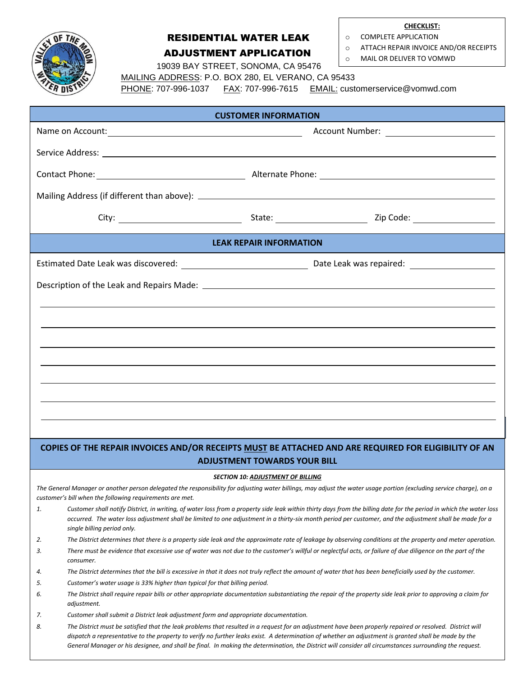

## RESIDENTIAL WATER LEAK ADJUSTMENT APPLICATION

**CHECKLIST:**

- o COMPLETE APPLICATION
- o ATTACH REPAIR INVOICE AND/OR RECEIPTS
- o MAIL OR DELIVER TO VOMWD

19039 BAY STREET, SONOMA, CA 95476

MAILING ADDRESS: P.O. BOX 280, EL VERANO, CA 95433

PHONE: 707-996-1037 FAX: 707-996-7615 EMAIL: customerservice@vomwd.com

| <b>CUSTOMER INFORMATION</b>                                                                                                                                                                                                      |                                                                                      |                                          |                                                                                                                                                                                                                                                                                                                                                                                                                                                                              |  |  |  |  |  |  |
|----------------------------------------------------------------------------------------------------------------------------------------------------------------------------------------------------------------------------------|--------------------------------------------------------------------------------------|------------------------------------------|------------------------------------------------------------------------------------------------------------------------------------------------------------------------------------------------------------------------------------------------------------------------------------------------------------------------------------------------------------------------------------------------------------------------------------------------------------------------------|--|--|--|--|--|--|
|                                                                                                                                                                                                                                  | Account Number: _________________________                                            |                                          |                                                                                                                                                                                                                                                                                                                                                                                                                                                                              |  |  |  |  |  |  |
|                                                                                                                                                                                                                                  |                                                                                      |                                          |                                                                                                                                                                                                                                                                                                                                                                                                                                                                              |  |  |  |  |  |  |
|                                                                                                                                                                                                                                  |                                                                                      |                                          |                                                                                                                                                                                                                                                                                                                                                                                                                                                                              |  |  |  |  |  |  |
|                                                                                                                                                                                                                                  |                                                                                      |                                          |                                                                                                                                                                                                                                                                                                                                                                                                                                                                              |  |  |  |  |  |  |
|                                                                                                                                                                                                                                  |                                                                                      |                                          |                                                                                                                                                                                                                                                                                                                                                                                                                                                                              |  |  |  |  |  |  |
| <b>LEAK REPAIR INFORMATION</b>                                                                                                                                                                                                   |                                                                                      |                                          |                                                                                                                                                                                                                                                                                                                                                                                                                                                                              |  |  |  |  |  |  |
|                                                                                                                                                                                                                                  |                                                                                      |                                          |                                                                                                                                                                                                                                                                                                                                                                                                                                                                              |  |  |  |  |  |  |
|                                                                                                                                                                                                                                  |                                                                                      |                                          |                                                                                                                                                                                                                                                                                                                                                                                                                                                                              |  |  |  |  |  |  |
|                                                                                                                                                                                                                                  |                                                                                      |                                          |                                                                                                                                                                                                                                                                                                                                                                                                                                                                              |  |  |  |  |  |  |
|                                                                                                                                                                                                                                  |                                                                                      |                                          |                                                                                                                                                                                                                                                                                                                                                                                                                                                                              |  |  |  |  |  |  |
|                                                                                                                                                                                                                                  |                                                                                      |                                          |                                                                                                                                                                                                                                                                                                                                                                                                                                                                              |  |  |  |  |  |  |
|                                                                                                                                                                                                                                  |                                                                                      |                                          |                                                                                                                                                                                                                                                                                                                                                                                                                                                                              |  |  |  |  |  |  |
|                                                                                                                                                                                                                                  |                                                                                      |                                          |                                                                                                                                                                                                                                                                                                                                                                                                                                                                              |  |  |  |  |  |  |
|                                                                                                                                                                                                                                  |                                                                                      |                                          |                                                                                                                                                                                                                                                                                                                                                                                                                                                                              |  |  |  |  |  |  |
|                                                                                                                                                                                                                                  |                                                                                      |                                          |                                                                                                                                                                                                                                                                                                                                                                                                                                                                              |  |  |  |  |  |  |
|                                                                                                                                                                                                                                  |                                                                                      |                                          |                                                                                                                                                                                                                                                                                                                                                                                                                                                                              |  |  |  |  |  |  |
|                                                                                                                                                                                                                                  |                                                                                      |                                          | COPIES OF THE REPAIR INVOICES AND/OR RECEIPTS MUST BE ATTACHED AND ARE REQUIRED FOR ELIGIBILITY OF AN                                                                                                                                                                                                                                                                                                                                                                        |  |  |  |  |  |  |
| <b>ADJUSTMENT TOWARDS YOUR BILL</b>                                                                                                                                                                                              |                                                                                      |                                          |                                                                                                                                                                                                                                                                                                                                                                                                                                                                              |  |  |  |  |  |  |
|                                                                                                                                                                                                                                  |                                                                                      | <b>SECTION 10: ADJUSTMENT OF BILLING</b> |                                                                                                                                                                                                                                                                                                                                                                                                                                                                              |  |  |  |  |  |  |
| The General Manager or another person delegated the responsibility for adjusting water billings, may adjust the water usage portion (excluding service charge), on a<br>customer's bill when the following requirements are met. |                                                                                      |                                          |                                                                                                                                                                                                                                                                                                                                                                                                                                                                              |  |  |  |  |  |  |
| 1.                                                                                                                                                                                                                               | single billing period only.                                                          |                                          | Customer shall notify District, in writing, of water loss from a property side leak within thirty days from the billing date for the period in which the water loss<br>occurred. The water loss adjustment shall be limited to one adjustment in a thirty-six month period per customer, and the adjustment shall be made for a                                                                                                                                              |  |  |  |  |  |  |
| 2.                                                                                                                                                                                                                               |                                                                                      |                                          | The District determines that there is a property side leak and the approximate rate of leakage by observing conditions at the property and meter operation.                                                                                                                                                                                                                                                                                                                  |  |  |  |  |  |  |
| 3.                                                                                                                                                                                                                               | consumer.                                                                            |                                          | There must be evidence that excessive use of water was not due to the customer's willful or neglectful acts, or failure of due diligence on the part of the                                                                                                                                                                                                                                                                                                                  |  |  |  |  |  |  |
| 4.                                                                                                                                                                                                                               |                                                                                      |                                          | The District determines that the bill is excessive in that it does not truly reflect the amount of water that has been beneficially used by the customer.                                                                                                                                                                                                                                                                                                                    |  |  |  |  |  |  |
| 5.                                                                                                                                                                                                                               | Customer's water usage is 33% higher than typical for that billing period.           |                                          |                                                                                                                                                                                                                                                                                                                                                                                                                                                                              |  |  |  |  |  |  |
| 6.                                                                                                                                                                                                                               | adjustment.                                                                          |                                          | The District shall require repair bills or other appropriate documentation substantiating the repair of the property side leak prior to approving a claim for                                                                                                                                                                                                                                                                                                                |  |  |  |  |  |  |
| 7.                                                                                                                                                                                                                               | Customer shall submit a District leak adjustment form and appropriate documentation. |                                          |                                                                                                                                                                                                                                                                                                                                                                                                                                                                              |  |  |  |  |  |  |
| 8.                                                                                                                                                                                                                               |                                                                                      |                                          | The District must be satisfied that the leak problems that resulted in a request for an adjustment have been properly repaired or resolved. District will<br>dispatch a representative to the property to verify no further leaks exist. A determination of whether an adjustment is granted shall be made by the<br>General Manager or his designee, and shall be final. In making the determination, the District will consider all circumstances surrounding the request. |  |  |  |  |  |  |